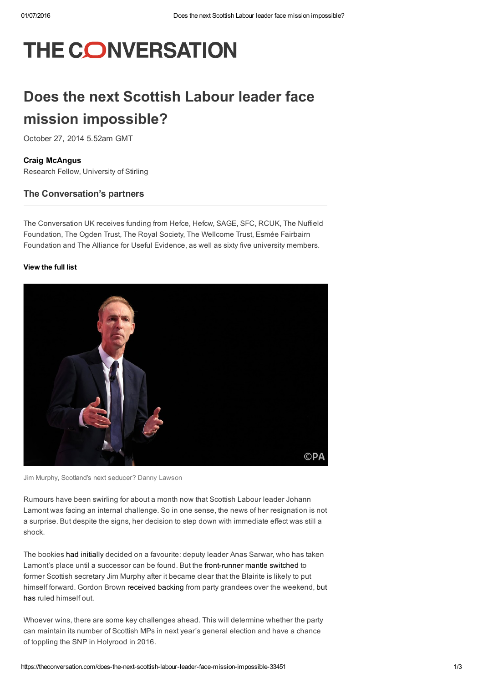# THE CONVERSATION

# Does the next Scottish Labour leader face mission impossible?

October 27, 2014 5.52am GMT

### Craig [McAngus](https://theconversation.com/profiles/craig-mcangus-138212)

Research Fellow, University of Stirling

### The Conversation's partners

The Conversation UK receives funding from Hefce, Hefcw, SAGE, SFC, RCUK, The Nuffield Foundation, The Ogden Trust, The Royal Society, The Wellcome Trust, Esmée Fairbairn Foundation and The Alliance for Useful Evidence, as well as sixty five university members.

#### [View](https://theconversation.com/uk/partners) the full list



Jim Murphy, Scotland's next seducer? Danny [Lawson](http://images.pressassociation.com/meta/2.20980635.html)

Rumours have been swirling for about a month now that Scottish Labour leader Johann Lamont was facing an internal challenge. So in one sense, the news of her resignation is not a surprise. But despite the signs, her decision to step down with immediate effect was still a shock.

The bookies had [initially](http://www.politicshome.com/uk/article/107068/ladbrokes_anas_sarwar_2_1_favourite_to_be_next_scottish_labour_party_leader_kezia_dugdale_4_1_gordon_brown_5_1_jim_murphy_6_1.html) decided on a favourite: deputy leader Anas Sarwar, who has taken Lamont's place until a successor can be found. But the front-runner mantle switched to former Scottish secretary Jim Murphy after it became clear that the Blairite is likely to put himself forward. Gordon Brown [received](http://www.dailyrecord.co.uk/news/politics/johann-lamont-quits-lord-foulkes-4511048) backing from party grandees over the [weekend,](http://news.sky.com/story/1360547/brown-not-running-for-scottish-labour-leader) but has ruled himself out.

Whoever wins, there are some key challenges ahead. This will determine whether the party can maintain its number of Scottish MPs in next year's general election and have a chance of toppling the SNP in Holyrood in 2016.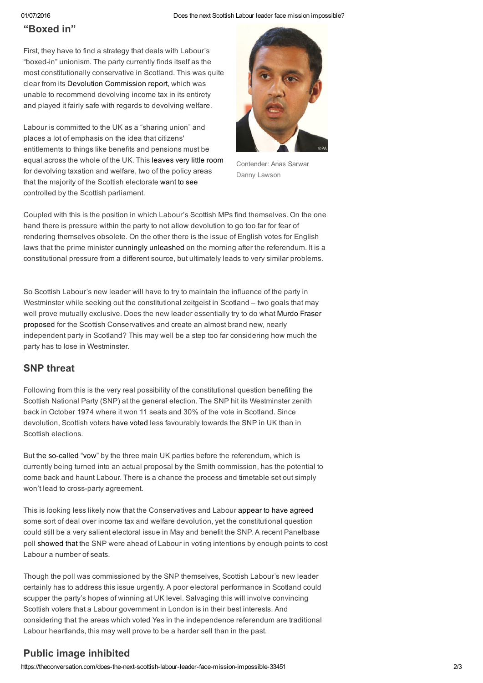#### 01/07/2016 Does the next Scottish Labour leader face mission impossible?

# "Boxed in"

First, they have to find a strategy that deals with Labour's "boxed-in" unionism. The party currently finds itself as the most constitutionally conservative in Scotland. This was quite clear from its Devolution [Commission](http://www.scottishlabour.org.uk/campaigns/entry/devolution-commission) report, which was unable to recommend devolving income tax in its entirety and played it fairly safe with regards to devolving welfare.

Labour is committed to the UK as a "sharing union" and places a lot of emphasis on the idea that citizens' entitlements to things like benefits and pensions must be equal across the whole of the UK. This [leaves](https://theconversation.com/devo-max-in-scotland-would-be-disastrous-for-northern-ireland-and-wales-33276) very little room for devolving taxation and welfare, two of the policy areas that the majority of the Scottish electorate [want](https://www.academia.edu/8295396/Advocates_of_Scotland_s_settled_will_Labour_elites_party_affiliates_and_the_constitutional_question_in_Scotland) to see controlled by the Scottish parliament.



Contender: Anas Sarwar Danny [Lawson](http://images.pressassociation.com/meta/2.20667891.html)

Coupled with this is the position in which Labour's Scottish MPs find themselves. On the one hand there is pressure within the party to not allow devolution to go too far for fear of rendering themselves obsolete. On the other there is the issue of English votes for English laws that the prime minister cunningly [unleashed](http://www.conservativehome.com/video/2014/09/watch-cameron-the-question-of-english-votes-for-english-laws-requires-a-decisive-answer.html) on the morning after the referendum. It is a constitutional pressure from a different source, but ultimately leads to very similar problems.

So Scottish Labour's new leader will have to try to maintain the influence of the party in Westminster while seeking out the constitutional zeitgeist in Scotland – two goals that may well prove mutually exclusive. Does the new leader essentially try to do what Murdo Fraser proposed for the Scottish [Conservatives](http://www.bbc.co.uk/news/uk-politics-14778353) and create an almost brand new, nearly independent party in Scotland? This may well be a step too far considering how much the party has to lose in Westminster.

# SNP threat

Following from this is the very real possibility of the constitutional question benefiting the Scottish National Party (SNP) at the general election. The SNP hit its Westminster zenith back in October 1974 where it won 11 seats and 30% of the vote in Scotland. Since devolution, Scottish voters have [voted](http://www.hansardsociety.org.uk/wp-content/uploads/2012/10/The-Scottish-Parliament-1999-2009-The-First-Decade-2009.pdf) less favourably towards the SNP in UK than in Scottish elections.

But the so-called "yow" by the three main UK parties before the referendum, which is currently being turned into an actual proposal by the Smith commission, has the potential to come back and haunt Labour. There is a chance the process and timetable set out simply won't lead to cross-party agreement.

This is looking less likely now that the Conservatives and Labour [appear](http://www.scotsman.com/news/uk/smith-commission-labour-and-tories-close-to-deal-1-3555402) to have agreed some sort of deal over income tax and welfare devolution, yet the constitutional question could still be a very salient electoral issue in May and benefit the SNP. A recent Panelbase poll [showed](http://www.newstatesman.com/politics/2014/10/how-many-seats-will-snp-surge-cost-labour-general-election) that the SNP were ahead of Labour in voting intentions by enough points to cost Labour a number of seats.

Though the poll was commissioned by the SNP themselves, Scottish Labour's new leader certainly has to address this issue urgently. A poor electoral performance in Scotland could scupper the party's hopes of winning at UK level. Salvaging this will involve convincing Scottish voters that a Labour government in London is in their best interests. And considering that the areas which voted Yes in the independence referendum are traditional Labour heartlands, this may well prove to be a harder sell than in the past.

## Public image inhibited

https://theconversation.com/does-the-next-scottish-labour-leader-face-mission-impossible-33451 2/3